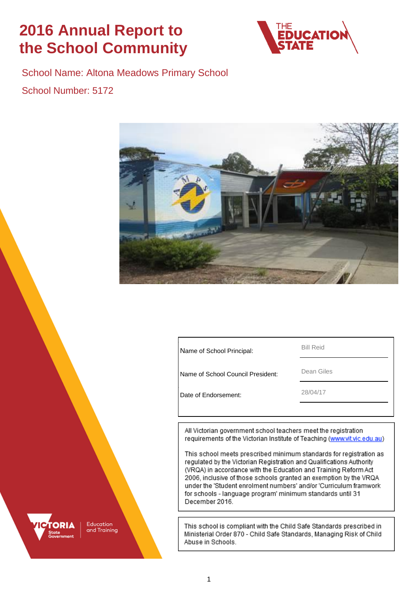# **2016 Annual Report to the School Community**



School Name: Altona Meadows Primary School School Number: 5172



| Name of School Principal: | <b>Bill Reid</b> |
|---------------------------|------------------|
|                           |                  |

Name of School Council President: Dean Giles

Date of Endorsement: 28/04/17

All Victorian government school teachers meet the registration requirements of the Victorian Institute of Teaching (www.vit.vic.edu.au)

This school meets prescribed minimum standards for registration as regulated by the Victorian Registration and Qualifications Authority (VRQA) in accordance with the Education and Training Reform Act 2006, inclusive of those schools granted an exemption by the VRQA under the 'Student enrolment numbers' and/or 'Curriculum framwork for schools - language program' minimum standards until 31 December 2016.

This school is compliant with the Child Safe Standards prescribed in Ministerial Order 870 - Child Safe Standards, Managing Risk of Child Abuse in Schools.

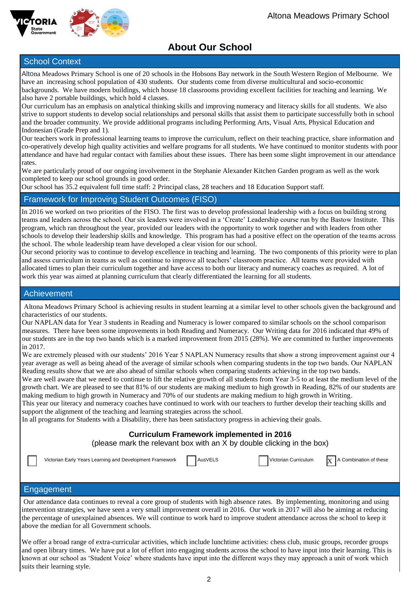

# **About Our School**

### School Context

Altona Meadows Primary School is one of 20 schools in the Hobsons Bay network in the South Western Region of Melbourne. We have an increasing school population of 430 students. Our students come from diverse multicultural and socio-economic backgrounds. We have modern buildings, which house 18 classrooms providing excellent facilities for teaching and learning. We also have 2 portable buildings, which hold 4 classes.

Our curriculum has an emphasis on analytical thinking skills and improving numeracy and literacy skills for all students. We also strive to support students to develop social relationships and personal skills that assist them to participate successfully both in school and the broader community. We provide additional programs including Performing Arts, Visual Arts, Physical Education and Indonesian (Grade Prep and 1).

Our teachers work in professional learning teams to improve the curriculum, reflect on their teaching practice, share information and co-operatively develop high quality activities and welfare programs for all students. We have continued to monitor students with poor attendance and have had regular contact with families about these issues. There has been some slight improvement in our attendance rates.

We are particularly proud of our ongoing involvement in the Stephanie Alexander Kitchen Garden program as well as the work completed to keep our school grounds in good order.

Our school has 35.2 equivalent full time staff: 2 Principal class, 28 teachers and 18 Education Support staff.

### Framework for Improving Student Outcomes (FISO)

In 2016 we worked on two priorities of the FISO. The first was to develop professional leadership with a focus on building strong teams and leaders across the school. Our six leaders were involved in a 'Create' Leadership course run by the Bastow Institute. This program, which ran throughout the year, provided our leaders with the opportunity to work together and with leaders from other schools to develop their leadership skills and knowledge. This program has had a positive effect on the operation of the teams across the school. The whole leadership team have developed a clear vision for our school.

Our second priority was to continue to develop excellence in teaching and learning. The two components of this priority were to plan and assess curriculum in teams as well as continue to improve all teachers' classroom practice. All teams were provided with allocated times to plan their curriculum together and have access to both our literacy and numeracy coaches as required. A lot of work this year was aimed at planning curriculum that clearly differentiated the learning for all students.

### Achievement

Altona Meadows Primary School is achieving results in student learning at a similar level to other schools given the background and characteristics of our students.

Our NAPLAN data for Year 3 students in Reading and Numeracy is lower compared to similar schools on the school comparison measures. There have been some improvements in both Reading and Numeracy. Our Writing data for 2016 indicated that 49% of our students are in the top two bands which is a marked improvement from 2015 (28%). We are committed to further improvements in 2017.

We are extremely pleased with our students' 2016 Year 5 NAPLAN Numeracy results that show a strong improvement against our 4 year average as well as being ahead of the average of similar schools when comparing students in the top two bands. Our NAPLAN Reading results show that we are also ahead of similar schools when comparing students achieving in the top two bands.

We are well aware that we need to continue to lift the relative growth of all students from Year 3-5 to at least the medium level of the growth chart. We are pleased to see that 81% of our students are making medium to high growth in Reading, 82% of our students are making medium to high growth in Numeracy and 70% of our students are making medium to high growth in Writing.

This year our literacy and numeracy coaches have continued to work with our teachers to further develop their teaching skills and support the alignment of the teaching and learning strategies across the school.

In all programs for Students with a Disability, there has been satisfactory progress in achieving their goals.

### **Curriculum Framework implemented in 2016**

(please mark the relevant box with an X by double clicking in the box)

Victorian Early Years Learning and Development Framework | AusVELS Victorian Curriculum



### Engagement

Our attendance data continues to reveal a core group of students with high absence rates. By implementing, monitoring and using intervention strategies, we have seen a very small improvement overall in 2016. Our work in 2017 will also be aiming at reducing the percentage of unexplained absences. We will continue to work hard to improve student attendance across the school to keep it above the median for all Government schools.

We offer a broad range of extra-curricular activities, which include lunchtime activities: chess club, music groups, recorder groups and open library times. We have put a lot of effort into engaging students across the school to have input into their learning. This is known at our school as 'Student Voice' where students have input into the different ways they may approach a unit of work which suits their learning style.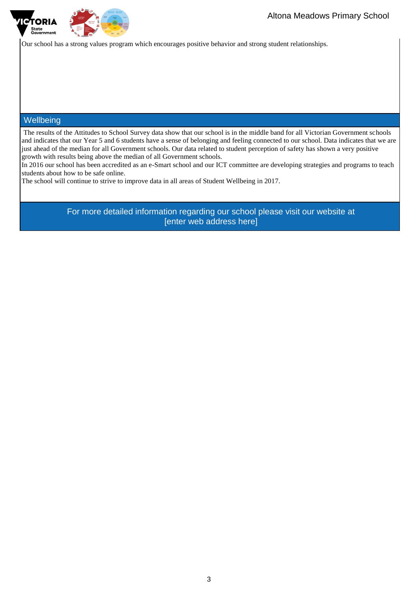

Our school has a strong values program which encourages positive behavior and strong student relationships.

### **Wellbeing**

The results of the Attitudes to School Survey data show that our school is in the middle band for all Victorian Government schools and indicates that our Year 5 and 6 students have a sense of belonging and feeling connected to our school. Data indicates that we are just ahead of the median for all Government schools. Our data related to student perception of safety has shown a very positive growth with results being above the median of all Government schools.

In 2016 our school has been accredited as an e-Smart school and our ICT committee are developing strategies and programs to teach students about how to be safe online.

The school will continue to strive to improve data in all areas of Student Wellbeing in 2017.

For more detailed information regarding our school please visit our website at [enter web address here]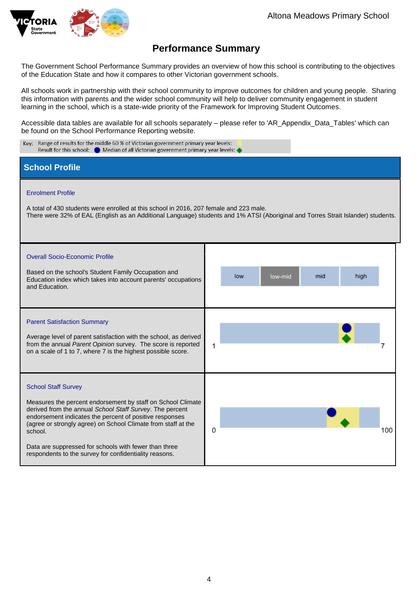

# **Performance Summary**

The Government School Performance Summary provides an overview of how this school is contributing to the objectives of the Education State and how it compares to other Victorian government schools.

All schools work in partnership with their school community to improve outcomes for children and young people. Sharing this information with parents and the wider school community will help to deliver community engagement in student learning in the school, which is a state-wide priority of the Framework for Improving Student Outcomes.

Accessible data tables are available for all schools separately – please refer to 'AR\_Appendix\_Data\_Tables' which can be found on the School Performance Reporting website.

| Key: Range of results for the middle 60 % of Victorian government primary year levels:<br>Result for this school:<br><b>Median of all Victorian government primary year levels:</b>                                                                                                                                                                                                                             |                               |  |  |  |  |  |
|-----------------------------------------------------------------------------------------------------------------------------------------------------------------------------------------------------------------------------------------------------------------------------------------------------------------------------------------------------------------------------------------------------------------|-------------------------------|--|--|--|--|--|
| <b>School Profile</b>                                                                                                                                                                                                                                                                                                                                                                                           |                               |  |  |  |  |  |
| <b>Enrolment Profile</b><br>A total of 430 students were enrolled at this school in 2016, 207 female and 223 male.<br>There were 32% of EAL (English as an Additional Language) students and 1% ATSI (Aboriginal and Torres Strait Islander) students.                                                                                                                                                          |                               |  |  |  |  |  |
| <b>Overall Socio-Economic Profile</b><br>Based on the school's Student Family Occupation and<br>Education index which takes into account parents' occupations<br>and Education.                                                                                                                                                                                                                                 | mid<br>high<br>low<br>low-mid |  |  |  |  |  |
| <b>Parent Satisfaction Summary</b><br>Average level of parent satisfaction with the school, as derived<br>from the annual Parent Opinion survey. The score is reported<br>on a scale of 1 to 7, where 7 is the highest possible score.                                                                                                                                                                          | 1                             |  |  |  |  |  |
| <b>School Staff Survey</b><br>Measures the percent endorsement by staff on School Climate<br>derived from the annual School Staff Survey. The percent<br>endorsement indicates the percent of positive responses<br>(agree or strongly agree) on School Climate from staff at the<br>school.<br>Data are suppressed for schools with fewer than three<br>respondents to the survey for confidentiality reasons. | 0<br>100                      |  |  |  |  |  |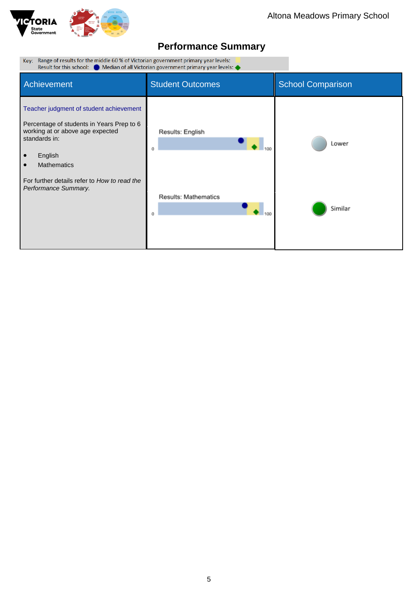

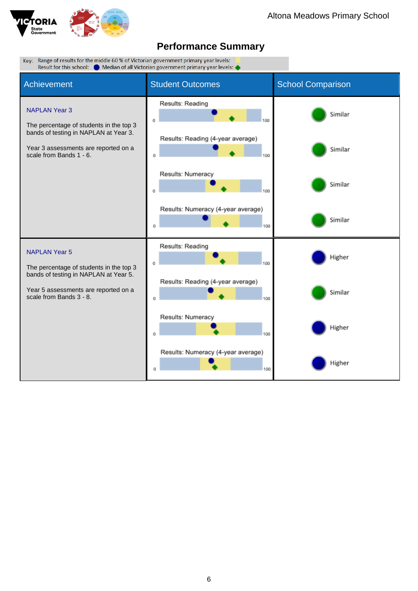

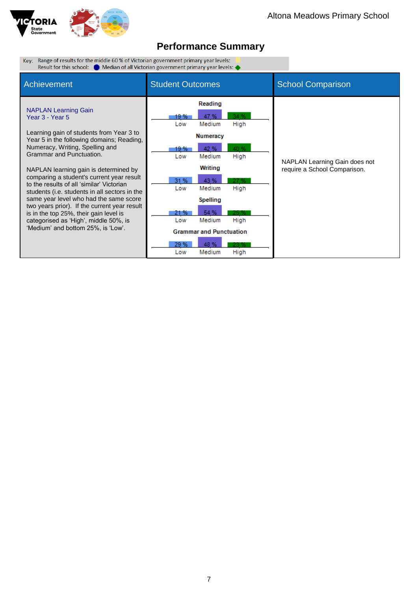

Key: Range of results for the middle 60 % of Victorian government primary year levels: <br>Result for this school: <br>**C** Median of all Victorian government primary year levels:

| Achievement                                                                                                                                                                                                                                                                                                                                                                                                                                                                                                                                                                                                   | <b>Student Outcomes</b>                                                                                                                                                                                                                                                                                                                 | <b>School Comparison</b>                                      |
|---------------------------------------------------------------------------------------------------------------------------------------------------------------------------------------------------------------------------------------------------------------------------------------------------------------------------------------------------------------------------------------------------------------------------------------------------------------------------------------------------------------------------------------------------------------------------------------------------------------|-----------------------------------------------------------------------------------------------------------------------------------------------------------------------------------------------------------------------------------------------------------------------------------------------------------------------------------------|---------------------------------------------------------------|
| <b>NAPLAN Learning Gain</b><br>Year 3 - Year 5<br>Learning gain of students from Year 3 to<br>Year 5 in the following domains; Reading,<br>Numeracy, Writing, Spelling and<br>Grammar and Punctuation.<br>NAPLAN learning gain is determined by<br>comparing a student's current year result<br>to the results of all 'similar' Victorian<br>students (i.e. students in all sectors in the<br>same year level who had the same score<br>two years prior). If the current year result<br>is in the top 25%, their gain level is<br>categorised as 'High', middle 50%, is<br>'Medium' and bottom 25%, is 'Low'. | Reading<br>34 %<br>19 %<br>47%<br>Medium<br>High<br>Low<br><b>Numeracy</b><br>40 %<br>42 %<br>19 %<br>Medium<br>Low<br>High<br>Writing<br>31 %<br>43 %<br>27 %<br>Medium<br>High<br>Low<br>Spelling<br>54 %<br>21 %<br>25 %<br>Medium<br>High<br>Low<br><b>Grammar and Punctuation</b><br>29 %<br>48 %<br>23 %<br>Medium<br>High<br>Low | NAPLAN Learning Gain does not<br>require a School Comparison. |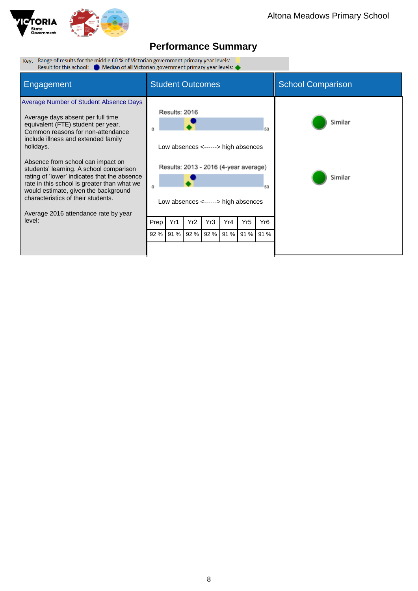

| Key: Range of results for the middle 60 % of Victorian government primary year levels:<br>Result for this school: $\bullet$ Median of all Victorian government primary year levels: $\bullet$                                                                                                                                                                                                                                                                                                                             |                         |               |      |      |      |                                                                                                                     |                             |                    |
|---------------------------------------------------------------------------------------------------------------------------------------------------------------------------------------------------------------------------------------------------------------------------------------------------------------------------------------------------------------------------------------------------------------------------------------------------------------------------------------------------------------------------|-------------------------|---------------|------|------|------|---------------------------------------------------------------------------------------------------------------------|-----------------------------|--------------------|
| Engagement                                                                                                                                                                                                                                                                                                                                                                                                                                                                                                                | <b>Student Outcomes</b> |               |      |      |      |                                                                                                                     | <b>School Comparison</b>    |                    |
| Average Number of Student Absence Days<br>Average days absent per full time<br>equivalent (FTE) student per year.<br>Common reasons for non-attendance<br>include illness and extended family<br>holidays.<br>Absence from school can impact on<br>students' learning. A school comparison<br>rating of 'lower' indicates that the absence<br>rate in this school is greater than what we<br>would estimate, given the background<br>characteristics of their students.<br>Average 2016 attendance rate by year<br>level: |                         | Results: 2016 | Yr2  | Yr3  | Yr4  | Low absences <------> high absences<br>Results: 2013 - 2016 (4-year average)<br>Low absences <------> high absences | 50<br>60<br>Yr <sub>6</sub> | Similar<br>Similar |
|                                                                                                                                                                                                                                                                                                                                                                                                                                                                                                                           | Prep<br>92 %            | Yr1<br>91 %   | 92 % | 92 % | 91 % | Yr5<br>91 %                                                                                                         | 91 %                        |                    |
|                                                                                                                                                                                                                                                                                                                                                                                                                                                                                                                           |                         |               |      |      |      |                                                                                                                     |                             |                    |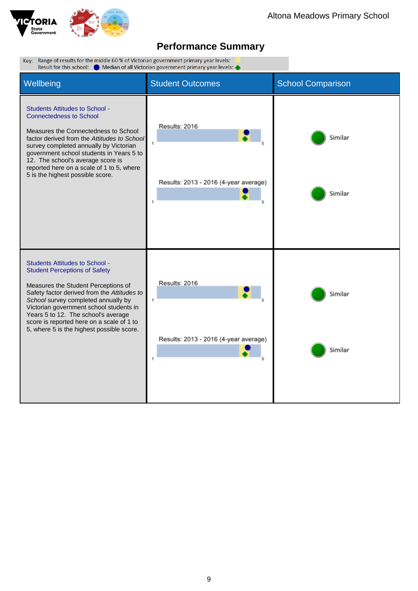

| Key: Range of results for the middle 60 % of Victorian government primary year levels:<br>Result for this school: C Median of all Victorian government primary year levels:                                                                                                                                                                                                            |                                                                                |                          |  |  |  |
|----------------------------------------------------------------------------------------------------------------------------------------------------------------------------------------------------------------------------------------------------------------------------------------------------------------------------------------------------------------------------------------|--------------------------------------------------------------------------------|--------------------------|--|--|--|
| Wellbeing                                                                                                                                                                                                                                                                                                                                                                              | <b>Student Outcomes</b>                                                        | <b>School Comparison</b> |  |  |  |
| <b>Students Attitudes to School -</b><br><b>Connectedness to School</b><br>Measures the Connectedness to School<br>factor derived from the Attitudes to School<br>survey completed annually by Victorian<br>government school students in Years 5 to<br>12. The school's average score is<br>reported here on a scale of 1 to 5, where<br>5 is the highest possible score.             | Results: 2016<br>$\ddot{\phantom{1}}$<br>Results: 2013 - 2016 (4-year average) | Similar<br>Similar       |  |  |  |
| <b>Students Attitudes to School -</b><br><b>Student Perceptions of Safety</b><br>Measures the Student Perceptions of<br>Safety factor derived from the Attitudes to<br>School survey completed annually by<br>Victorian government school students in<br>Years 5 to 12. The school's average<br>score is reported here on a scale of 1 to<br>5, where 5 is the highest possible score. | Results: 2016<br>1<br>Results: 2013 - 2016 (4-year average)<br>1               | Similar<br>Similar       |  |  |  |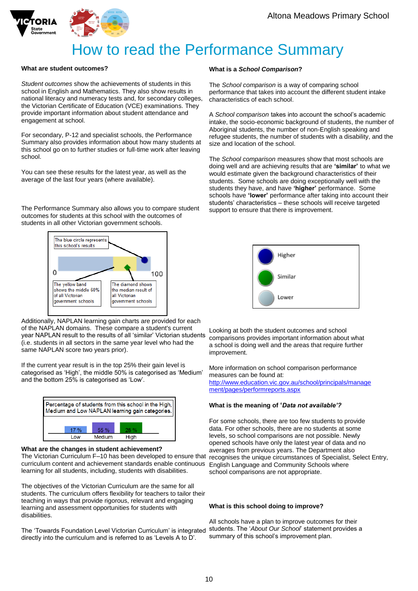



# How to read the Performance Summary

### **What are student outcomes?**

*Student outcomes* show the achievements of students in this school in English and Mathematics. They also show results in national literacy and numeracy tests and, for secondary colleges, the Victorian Certificate of Education (VCE) examinations. They provide important information about student attendance and engagement at school.

For secondary, P-12 and specialist schools, the Performance Summary also provides information about how many students at this school go on to further studies or full-time work after leaving school.

You can see these results for the latest year, as well as the average of the last four years (where available).

The Performance Summary also allows you to compare student outcomes for students at this school with the outcomes of students in all other Victorian government schools.



Additionally, NAPLAN learning gain charts are provided for each of the NAPLAN domains. These compare a student's current year NAPLAN result to the results of all 'similar' Victorian students (i.e. students in all sectors in the same year level who had the same NAPLAN score two years prior).

If the current year result is in the top 25% their gain level is categorised as 'High', the middle 50% is categorised as 'Medium' and the bottom 25% is categorised as 'Low'.



#### **What are the changes in student achievement?**

curriculum content and achievement standards enable continuous English Language and Community Schools where The Victorian Curriculum F–10 has been developed to ensure that learning for all students, including, students with disabilities.

The objectives of the Victorian Curriculum are the same for all students. The curriculum offers flexibility for teachers to tailor their teaching in ways that provide rigorous, relevant and engaging learning and assessment opportunities for students with disabilities.

The 'Towards Foundation Level Victorian Curriculum' is integrated directly into the curriculum and is referred to as 'Levels A to D'.

### **What is a** *School Comparison***?**

The *School comparison* is a way of comparing school performance that takes into account the different student intake characteristics of each school.

A *School comparison* takes into account the school's academic intake, the socio-economic background of students, the number of Aboriginal students, the number of non-English speaking and refugee students, the number of students with a disability, and the size and location of the school.

The *School comparison* measures show that most schools are doing well and are achieving results that are **'similar'** to what we would estimate given the background characteristics of their students. Some schools are doing exceptionally well with the students they have, and have **'higher'** performance. Some schools have **'lower'** performance after taking into account their students' characteristics – these schools will receive targeted support to ensure that there is improvement.



Looking at both the student outcomes and school comparisons provides important information about what a school is doing well and the areas that require further improvement.

More information on school comparison performance measures can be found at: [http://www.education.vic.gov.au/school/principals/manage](http://www.education.vic.gov.au/school/principals/management/pages/performreports.aspx) [ment/pages/performreports.aspx](http://www.education.vic.gov.au/school/principals/management/pages/performreports.aspx)

#### **What is the meaning of '***Data not available'?*

For some schools, there are too few students to provide data. For other schools, there are no students at some levels, so school comparisons are not possible. Newly opened schools have only the latest year of data and no averages from previous years. The Department also recognises the unique circumstances of Specialist, Select Entry, school comparisons are not appropriate.

#### **What is this school doing to improve?**

All schools have a plan to improve outcomes for their students. The '*About Our School*' statement provides a summary of this school's improvement plan.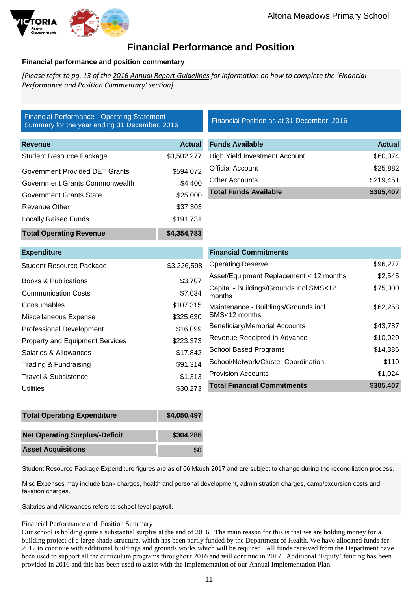

### **Financial Performance and Position**

### **Financial performance and position commentary**

*[Please refer to pg. 13 of th[e 2016 Annual Report Guidelines](https://edugate.eduweb.vic.gov.au/edrms/project/fiso/SchoolImprovementCycle/Guidelines%20for%20the%202016%20Annual%20Report%20to%20the%20School%20Community.docx) for information on how to complete the 'Financial Performance and Position Commentary' section]*

| <b>Financial Performance - Operating Statement</b><br>Summary for the year ending 31 December, 2016 |               | Financial Position as at 31 December, 2016        |               |
|-----------------------------------------------------------------------------------------------------|---------------|---------------------------------------------------|---------------|
| <b>Revenue</b>                                                                                      | <b>Actual</b> | <b>Funds Available</b>                            | <b>Actual</b> |
| <b>Student Resource Package</b>                                                                     | \$3,502,277   | <b>High Yield Investment Account</b>              | \$60,074      |
| <b>Government Provided DET Grants</b>                                                               | \$594,072     | <b>Official Account</b>                           | \$25,882      |
| Government Grants Commonwealth                                                                      | \$4,400       | <b>Other Accounts</b>                             | \$219,451     |
| <b>Government Grants State</b>                                                                      | \$25,000      | <b>Total Funds Available</b>                      | \$305,407     |
| <b>Revenue Other</b>                                                                                | \$37,303      |                                                   |               |
| <b>Locally Raised Funds</b>                                                                         | \$191,731     |                                                   |               |
| <b>Total Operating Revenue</b>                                                                      | \$4,354,783   |                                                   |               |
| <b>Expenditure</b>                                                                                  |               | <b>Financial Commitments</b>                      |               |
| <b>Student Resource Package</b>                                                                     | \$3,226,598   | <b>Operating Reserve</b>                          | \$96,277      |
| <b>Books &amp; Publications</b>                                                                     | \$3,707       | Asset/Equipment Replacement < 12 months           | \$2,545       |
| <b>Communication Costs</b>                                                                          | \$7,034       | Capital - Buildings/Grounds incl SMS<12<br>months | \$75,000      |
| Consumables                                                                                         | \$107,315     | Maintenance - Buildings/Grounds incl              | \$62,258      |
| Miscellaneous Expense                                                                               | \$325,630     | SMS<12 months                                     |               |
| <b>Professional Development</b>                                                                     | \$16,099      | <b>Beneficiary/Memorial Accounts</b>              | \$43,787      |
| <b>Property and Equipment Services</b>                                                              | \$223,373     | Revenue Receipted in Advance                      | \$10,020      |
| Salaries & Allowances                                                                               | \$17,842      | <b>School Based Programs</b>                      | \$14,386      |
| Trading & Fundraising                                                                               | \$91,314      | School/Network/Cluster Coordination               | \$110         |
| Travel & Subsistence                                                                                | \$1,313       | <b>Provision Accounts</b>                         | \$1,024       |
| <b>Utilities</b>                                                                                    | \$30,273      | <b>Total Financial Commitments</b>                | \$305,407     |

| <b>Total Operating Expenditure</b>    | \$4,050,497 |
|---------------------------------------|-------------|
| <b>Net Operating Surplus/-Deficit</b> | \$304.286   |
| <b>Asset Acquisitions</b>             | SO          |

Student Resource Package Expenditure figures are as of 06 March 2017 and are subject to change during the reconciliation process.

Misc Expenses may include bank charges, health and personal development, administration charges, camp/excursion costs and taxation charges.

Salaries and Allowances refers to school-level payroll.

### Financial Performance and Position Summary

Our school is holding quite a substantial surplus at the end of 2016. The main reason for this is that we are holding money for a building project of a large shade structure, which has been partly funded by the Department of Health. We have allocated funds for 2017 to continue with additional buildings and grounds works which will be required. All funds received from the Department have been used to support all the curriculum programs throughout 2016 and will continue in 2017. Additional 'Equity' funding has been provided in 2016 and this has been used to assist with the implementation of our Annual Implementation Plan.